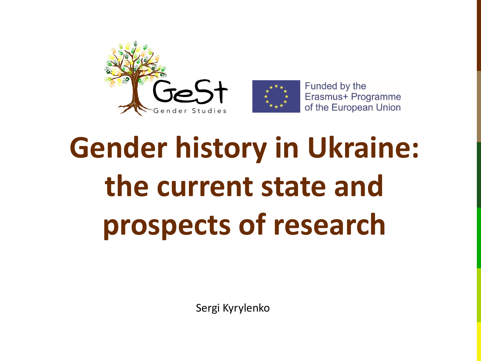

Funded by the Erasmus+ Programme of the European Union

# **Gender history in Ukraine: the current state and prospects of research**

Sergi Kyrylenko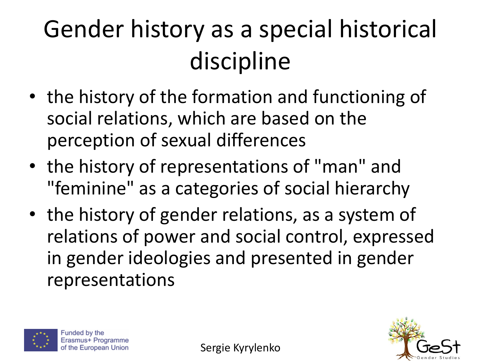#### Gender history as a special historical discipline

- the history of the formation and functioning of social relations, which are based on the perception of sexual differences
- the history of representations of "man" and "feminine" as a categories of social hierarchy
- the history of gender relations, as a system of relations of power and social control, expressed in gender ideologies and presented in gender representations



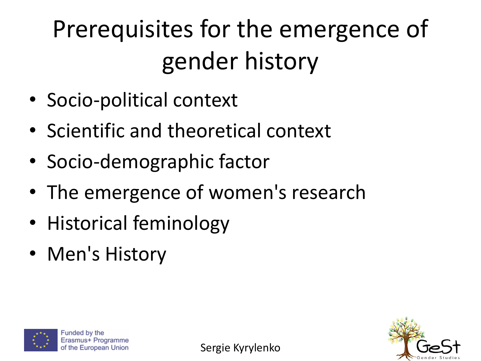### Prerequisites for the emergence of gender history

- Socio-political context
- Scientific and theoretical context
- Socio-demographic factor
- The emergence of women's research
- Historical feminology
- Men's History





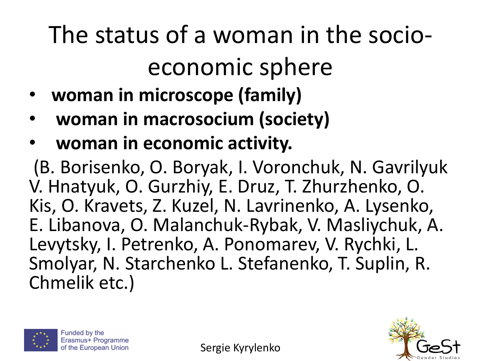#### The status of a woman in the socioeconomic sphere

- **woman in microscope (family)**
- **woman in macrosocium (society)**
- **woman in economic activity.**

(B. Borisenko, O. Boryak, I. Voronchuk, N. Gavrilyuk V. Hnatyuk, O. Gurzhiy, E. Druz, T. Zhurzhenko, O. Kis, O. Kravets, Z. Kuzel, N. Lavrinenko, A. Lysenko, E. Libanova, O. Malanchuk-Rybak, V. Masliychuk, A. Levytsky, I. Petrenko, A. Ponomarev, V. Rychki, L. Smolyar, N. Starchenko L. Stefanenko, T. Suplin, R. Chmelik etc.)



Funded by the Erasmus+ Programme of the European Union

Sergie Kyrylenko

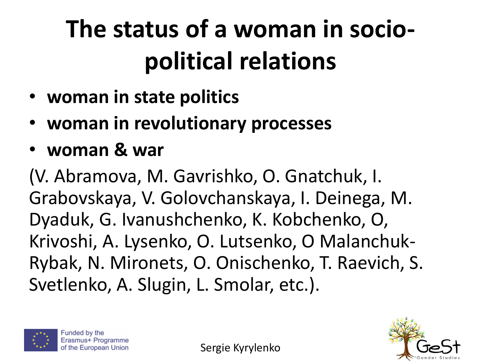#### **The status of a woman in sociopolitical relations**

- **woman in state politics**
- **woman in revolutionary processes**
- **woman & war**

(V. Abramova, M. Gavrishko, O. Gnatchuk, I. Grabovskaya, V. Golovchanskaya, I. Deinega, M. Dyaduk, G. Ivanushchenko, K. Kobchenko, O, Krivoshi, A. Lysenko, O. Lutsenko, О Malanchuk-Rybak, N. Mironets, O. Onischenko, T. Raevich, S. Svetlenko, A. Slugin, L. Smolar, etc.).





Sergie Kyrylenko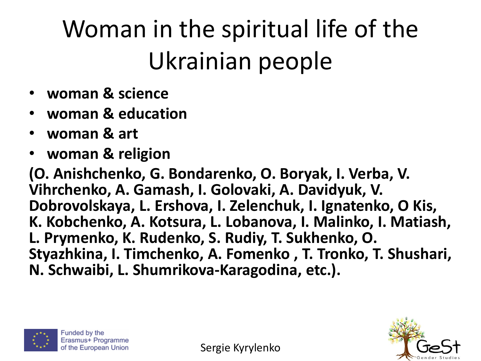#### Woman in the spiritual life of the Ukrainian people

- **woman & science**
- **woman & education**
- **woman & art**
- **woman & religion**

**(O. Anishchenko, G. Bondarenko, O. Boryak, I. Verba, V. Vihrchenko, A. Gamash, I. Golovaki, A. Davidyuk, V. Dobrovolskaya, L. Ershova, I. Zelenchuk, I. Ignatenko, O Kis, K. Kobchenko, A. Kotsura, L. Lobanova, I. Malinko, I. Matiash, L. Prymenko, K. Rudenko, S. Rudiy, T. Sukhenko, O. Styazhkina, I. Timchenko, A. Fomenko , T. Tronko, T. Shushari, N. Schwaibi, L. Shumrikova-Karagodina, etc.).**





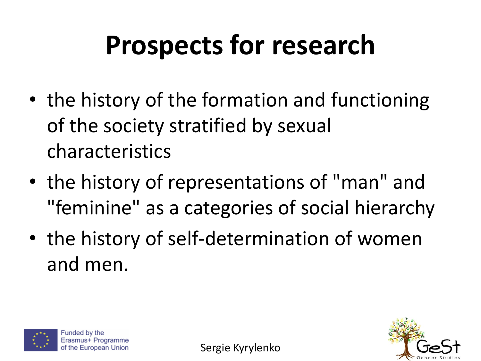## **Prospects for research**

- the history of the formation and functioning of the society stratified by sexual characteristics
- the history of representations of "man" and "feminine" as a categories of social hierarchy
- the history of self-determination of women and men.